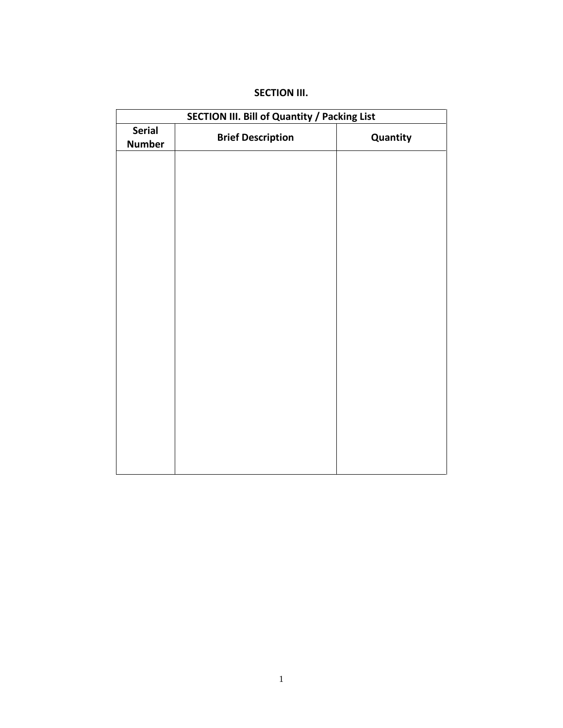| SECTION III. Bill of Quantity / Packing List |                          |          |  |  |  |  |
|----------------------------------------------|--------------------------|----------|--|--|--|--|
| <b>Serial</b><br><b>Number</b>               | <b>Brief Description</b> | Quantity |  |  |  |  |
|                                              |                          |          |  |  |  |  |
|                                              |                          |          |  |  |  |  |
|                                              |                          |          |  |  |  |  |
|                                              |                          |          |  |  |  |  |
|                                              |                          |          |  |  |  |  |
|                                              |                          |          |  |  |  |  |
|                                              |                          |          |  |  |  |  |
|                                              |                          |          |  |  |  |  |
|                                              |                          |          |  |  |  |  |
|                                              |                          |          |  |  |  |  |
|                                              |                          |          |  |  |  |  |
|                                              |                          |          |  |  |  |  |

# **SECTION III.**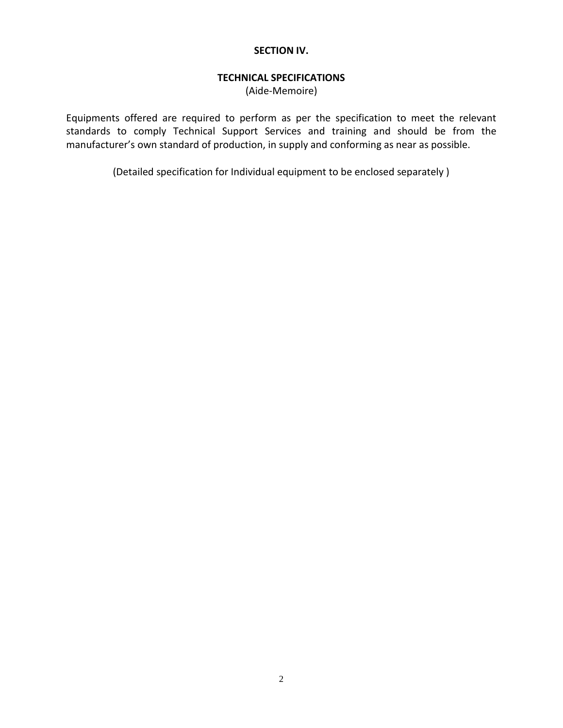#### **SECTION IV.**

# **TECHNICAL SPECIFICATIONS**

(Aide-Memoire)

Equipments offered are required to perform as per the specification to meet the relevant standards to comply Technical Support Services and training and should be from the manufacturer's own standard of production, in supply and conforming as near as possible.

(Detailed specification for Individual equipment to be enclosed separately )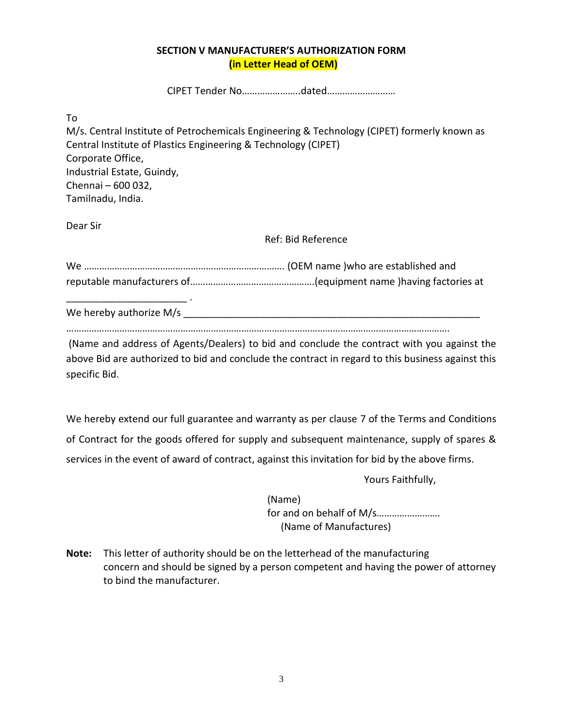### **SECTION V MANUFACTURER'S AUTHORIZATION FORM (in Letter Head of OEM)**

CIPET Tender No…………………..dated………………………

To

M/s. Central Institute of Petrochemicals Engineering & Technology (CIPET) formerly known as Central Institute of Plastics Engineering & Technology (CIPET) Corporate Office, Industrial Estate, Guindy, Chennai – 600 032, Tamilnadu, India.

Dear Sir

Ref: Bid Reference

We hereby authorize  $M/s$ 

…………………………………………………………………………………………………………………………………….

(Name and address of Agents/Dealers) to bid and conclude the contract with you against the above Bid are authorized to bid and conclude the contract in regard to this business against this specific Bid.

We hereby extend our full guarantee and warranty as per clause 7 of the Terms and Conditions of Contract for the goods offered for supply and subsequent maintenance, supply of spares & services in the event of award of contract, against this invitation for bid by the above firms.

Yours Faithfully,

(Name) for and on behalf of M/s……………………. (Name of Manufactures)

**Note:** This letter of authority should be on the letterhead of the manufacturing concern and should be signed by a person competent and having the power of attorney to bind the manufacturer.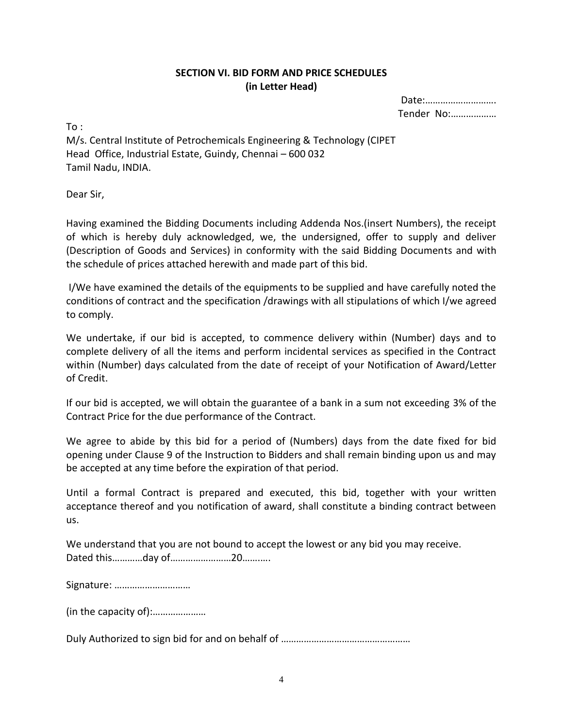# **SECTION VI. BID FORM AND PRICE SCHEDULES (in Letter Head)**

Date:………………………. Tender No:………………

 $To:$ 

M/s. Central Institute of Petrochemicals Engineering & Technology (CIPET Head Office, Industrial Estate, Guindy, Chennai – 600 032 Tamil Nadu, INDIA.

Dear Sir,

Having examined the Bidding Documents including Addenda Nos.(insert Numbers), the receipt of which is hereby duly acknowledged, we, the undersigned, offer to supply and deliver (Description of Goods and Services) in conformity with the said Bidding Documents and with the schedule of prices attached herewith and made part of this bid.

I/We have examined the details of the equipments to be supplied and have carefully noted the conditions of contract and the specification /drawings with all stipulations of which I/we agreed to comply.

We undertake, if our bid is accepted, to commence delivery within (Number) days and to complete delivery of all the items and perform incidental services as specified in the Contract within (Number) days calculated from the date of receipt of your Notification of Award/Letter of Credit.

If our bid is accepted, we will obtain the guarantee of a bank in a sum not exceeding 3% of the Contract Price for the due performance of the Contract.

We agree to abide by this bid for a period of (Numbers) days from the date fixed for bid opening under Clause 9 of the Instruction to Bidders and shall remain binding upon us and may be accepted at any time before the expiration of that period.

Until a formal Contract is prepared and executed, this bid, together with your written acceptance thereof and you notification of award, shall constitute a binding contract between us.

We understand that you are not bound to accept the lowest or any bid you may receive. Dated this…………day of……………………20…….….

Signature: …………………………

(in the capacity of):…………………

Duly Authorized to sign bid for and on behalf of ……………………………………………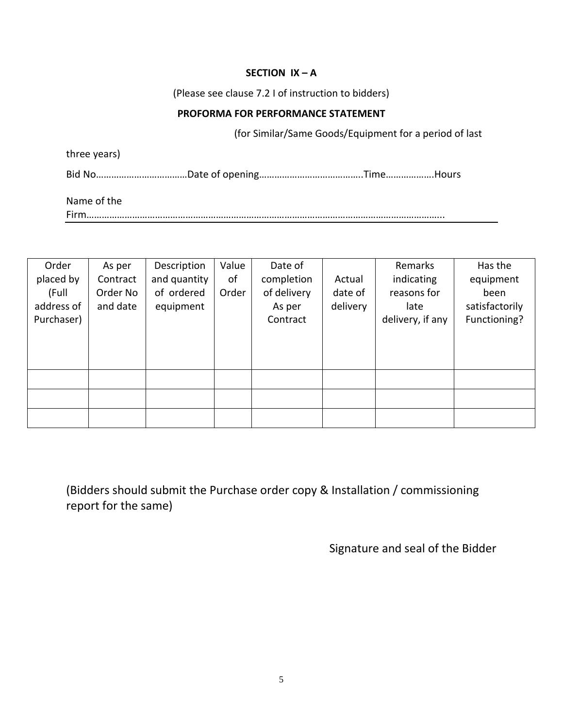# **SECTION IX – A**

(Please see clause 7.2 I of instruction to bidders)

## **PROFORMA FOR PERFORMANCE STATEMENT**

(for Similar/Same Goods/Equipment for a period of last

three years)

Bid No………………………………Date of opening…………………………………..Time……………….Hours

Name of the

Firm…………………………………………………………………………………………………………………………...

| As per   | Description  | Value | Date of     |          | Remarks          | Has the        |
|----------|--------------|-------|-------------|----------|------------------|----------------|
| Contract | and quantity | of    | completion  | Actual   | indicating       | equipment      |
| Order No | of ordered   | Order | of delivery | date of  | reasons for      | been           |
| and date | equipment    |       | As per      | delivery | late             | satisfactorily |
|          |              |       | Contract    |          | delivery, if any | Functioning?   |
|          |              |       |             |          |                  |                |
|          |              |       |             |          |                  |                |
|          |              |       |             |          |                  |                |
|          |              |       |             |          |                  |                |
|          |              |       |             |          |                  |                |
|          |              |       |             |          |                  |                |
|          |              |       |             |          |                  |                |

(Bidders should submit the Purchase order copy & Installation / commissioning report for the same)

Signature and seal of the Bidder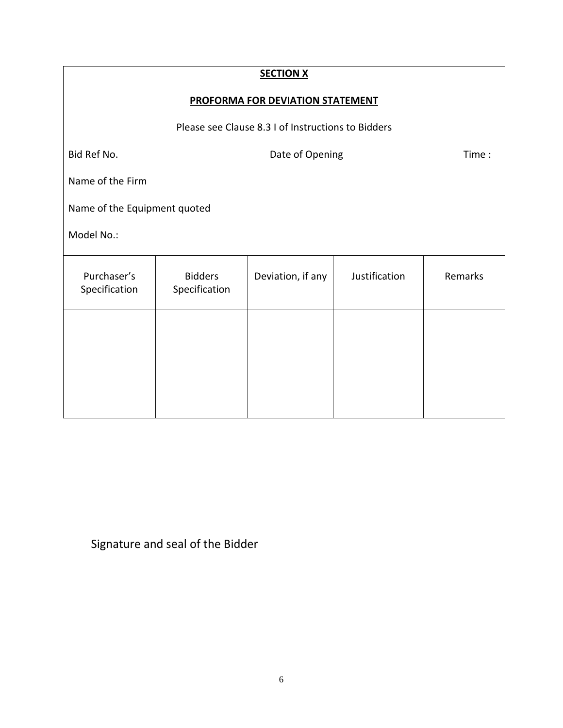| <b>SECTION X</b>                                   |                                 |                   |               |         |  |  |  |  |
|----------------------------------------------------|---------------------------------|-------------------|---------------|---------|--|--|--|--|
| <b>PROFORMA FOR DEVIATION STATEMENT</b>            |                                 |                   |               |         |  |  |  |  |
| Please see Clause 8.3 I of Instructions to Bidders |                                 |                   |               |         |  |  |  |  |
| Bid Ref No.                                        | Date of Opening                 |                   |               |         |  |  |  |  |
| Name of the Firm                                   |                                 |                   |               |         |  |  |  |  |
| Name of the Equipment quoted                       |                                 |                   |               |         |  |  |  |  |
| Model No.:                                         |                                 |                   |               |         |  |  |  |  |
| Purchaser's<br>Specification                       | <b>Bidders</b><br>Specification | Deviation, if any | Justification | Remarks |  |  |  |  |
|                                                    |                                 |                   |               |         |  |  |  |  |
|                                                    |                                 |                   |               |         |  |  |  |  |
|                                                    |                                 |                   |               |         |  |  |  |  |
|                                                    |                                 |                   |               |         |  |  |  |  |

Signature and seal of the Bidder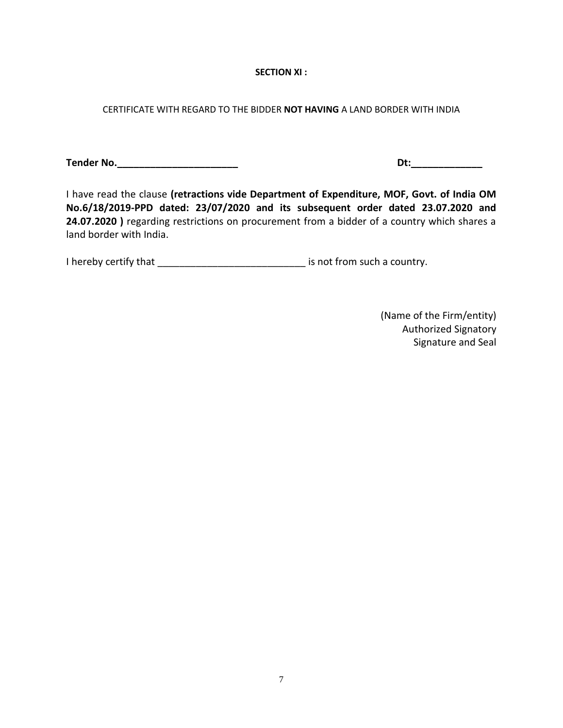#### **SECTION XI :**

#### CERTIFICATE WITH REGARD TO THE BIDDER **NOT HAVING** A LAND BORDER WITH INDIA

**Tender No.\_\_\_\_\_\_\_\_\_\_\_\_\_\_\_\_\_\_\_\_\_\_ Dt:\_\_\_\_\_\_\_\_\_\_\_\_\_**

I have read the clause **(retractions vide Department of Expenditure, MOF, Govt. of India OM No.6/18/2019-PPD dated: 23/07/2020 and its subsequent order dated 23.07.2020 and 24.07.2020 )** regarding restrictions on procurement from a bidder of a country which shares a land border with India.

I hereby certify that \_\_\_\_\_\_\_\_\_\_\_\_\_\_\_\_\_\_\_\_\_\_\_\_\_\_\_\_\_\_\_\_ is not from such a country.

(Name of the Firm/entity) Authorized Signatory Signature and Seal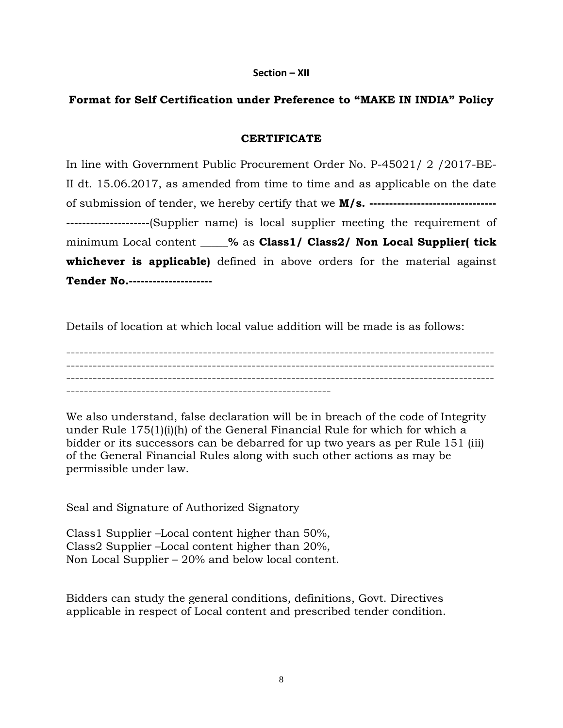#### **Section – XII**

## **Format for Self Certification under Preference to "MAKE IN INDIA" Policy**

#### **CERTIFICATE**

In line with Government Public Procurement Order No. P-45021/ 2 /2017-BE-II dt. 15.06.2017, as amended from time to time and as applicable on the date of submission of tender, we hereby certify that we **M/s. -------------------------------- ---------------------**(Supplier name) is local supplier meeting the requirement of minimum Local content **\_\_\_\_\_%** as **Class1/ Class2/ Non Local Supplier( tick whichever is applicable)** defined in above orders for the material against **Tender No.---------------------**

Details of location at which local value addition will be made is as follows:

------------------------------------------------------------------------------------------------- ------------------------------------------------------------------------------------------------- ------------------------------------------------------------------------------------------------- ------------------------------------------------------------

We also understand, false declaration will be in breach of the code of Integrity under Rule 175(1)(i)(h) of the General Financial Rule for which for which a bidder or its successors can be debarred for up two years as per Rule 151 (iii) of the General Financial Rules along with such other actions as may be permissible under law.

Seal and Signature of Authorized Signatory

Class1 Supplier –Local content higher than 50%, Class2 Supplier –Local content higher than 20%, Non Local Supplier – 20% and below local content.

Bidders can study the general conditions, definitions, Govt. Directives applicable in respect of Local content and prescribed tender condition.